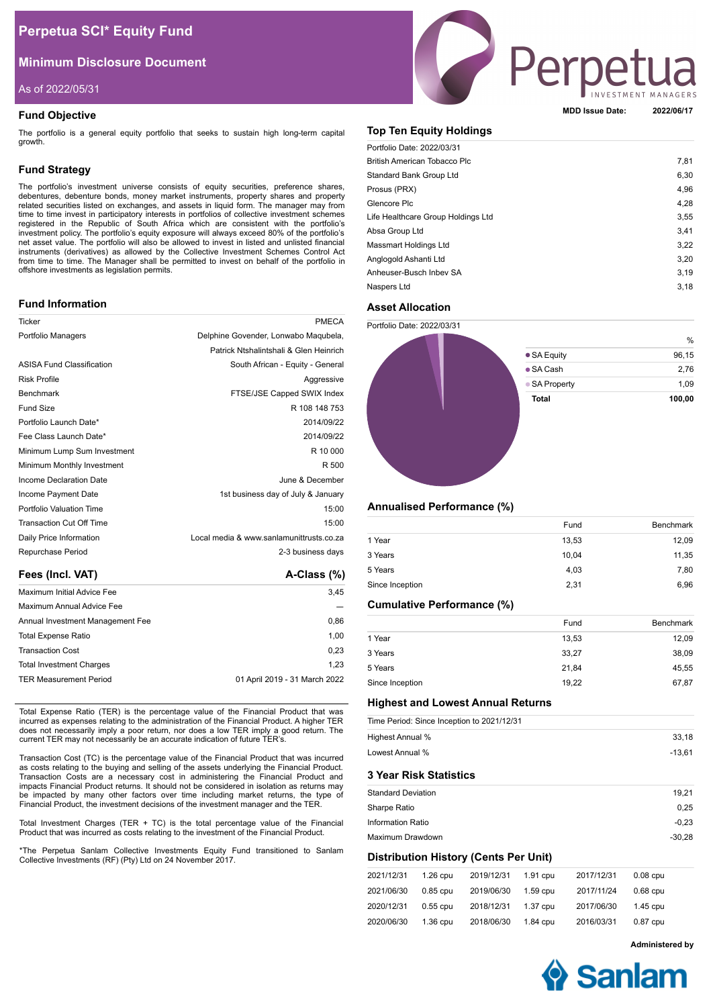# **Perpetua SCI\* Equity Fund**

# **Minimum Disclosure Document**

# As of 2022/05/31

# **Fund Objective**

The portfolio is a general equity portfolio that seeks to sustain high long-term capital growth.

## **Fund Strategy**

The portfolio's investment universe consists of equity securities, preference shares, debentures, debenture bonds, money market instruments, property shares and property related securities listed on exchanges, and assets in liquid form. The manager may from time to time invest in participatory interests in portfolios of collective investment schemes registered in the Republic of South Africa which are consistent with the portfolio's<br>investment policy. The portfolio's equity exposure will always exceed 80% of the portfolio's<br>net asset value. The portfolio w instruments (derivatives) as allowed by the Collective Investment Schemes Control Act from time to time. The Manager shall be permitted to invest on behalf of the portfolio in offshore investments as legislation permits.

## **Fund Information**

| Ticker                           | PMECA                                    |
|----------------------------------|------------------------------------------|
| Portfolio Managers               | Delphine Govender, Lonwabo Maqubela,     |
|                                  | Patrick Ntshalintshali & Glen Heinrich   |
| <b>ASISA Fund Classification</b> | South African - Equity - General         |
| <b>Risk Profile</b>              | Aggressive                               |
| <b>Benchmark</b>                 | FTSE/JSE Capped SWIX Index               |
| <b>Fund Size</b>                 | R 108 148 753                            |
| Portfolio Launch Date*           | 2014/09/22                               |
| Fee Class Launch Date*           | 2014/09/22                               |
| Minimum Lump Sum Investment      | R 10 000                                 |
| Minimum Monthly Investment       | R 500                                    |
| Income Declaration Date          | June & December                          |
| Income Payment Date              | 1st business day of July & January       |
| Portfolio Valuation Time         | 15:00                                    |
| Transaction Cut Off Time         | 15:00                                    |
| Daily Price Information          | Local media & www.sanlamunittrusts.co.za |
| Repurchase Period                | 2-3 business days                        |
|                                  |                                          |

| Fees (Incl. VAT)                 | $A-Class (%)$                 |
|----------------------------------|-------------------------------|
| Maximum Initial Advice Fee       | 3.45                          |
| Maximum Annual Advice Fee        |                               |
| Annual Investment Management Fee | 0.86                          |
| <b>Total Expense Ratio</b>       | 1.00                          |
| <b>Transaction Cost</b>          | 0,23                          |
| <b>Total Investment Charges</b>  | 1.23                          |
| <b>TER Measurement Period</b>    | 01 April 2019 - 31 March 2022 |

Total Expense Ratio (TER) is the percentage value of the Financial Product that was incurred as expenses relating to the administration of the Financial Product. A higher TER does not necessarily imply a poor return, nor does a low TER imply a good return. The current TER may not necessarily be an accurate indication of future TER's.

Transaction Cost (TC) is the percentage value of the Financial Product that was incurred as costs relating to the buying and selling of the assets underlying the Financial Product. Transaction Costs are a necessary cost in administering the Financial Product and impacts Financial Product returns. It should not be considered in isolation as returns may be impacted by many other factors over time including market returns, the type of Financial Product, the investment decisions of the investment manager and the TER.

Total Investment Charges (TER  $+$  TC) is the total percentage value of the Financial Product that was incurred as costs relating to the investment of the Financial Product.

\*The Perpetua Sanlam Collective Investments Equity Fund transitioned to Sanlam Collective Investments (RF) (Pty) Ltd on 24 November 2017.



**MDD Issue Date: 2022/06/17**

# **Top Ten Equity Holdings**

| Portfolio Date: 2022/03/31          |      |
|-------------------------------------|------|
| <b>British American Tobacco Plc</b> | 7,81 |
| Standard Bank Group Ltd             | 6,30 |
| Prosus (PRX)                        | 4,96 |
| Glencore Plc                        | 4,28 |
| Life Healthcare Group Holdings Ltd  | 3.55 |
| Absa Group Ltd                      | 3,41 |
| Massmart Holdings Ltd               | 3,22 |
| Anglogold Ashanti Ltd               | 3,20 |
| Anheuser-Busch Inbey SA             | 3,19 |
| Naspers Ltd                         | 3,18 |

# **Asset Allocation**

Portfolio Date: 2022/03/31



## **Annualised Performance (%)**

|                 | Fund  | <b>Benchmark</b> |
|-----------------|-------|------------------|
| 1 Year          | 13,53 | 12,09            |
| 3 Years         | 10.04 | 11,35            |
| 5 Years         | 4,03  | 7,80             |
| Since Inception | 2,31  | 6,96             |

# **Cumulative Performance (%)**

|                 | Fund  | Benchmark |
|-----------------|-------|-----------|
| 1 Year          | 13.53 | 12,09     |
| 3 Years         | 33.27 | 38,09     |
| 5 Years         | 21.84 | 45,55     |
| Since Inception | 19.22 | 67.87     |

## **Highest and Lowest Annual Returns**

| Time Period: Since Inception to 2021/12/31 |          |  |  |
|--------------------------------------------|----------|--|--|
| Highest Annual %                           | 33,18    |  |  |
| Lowest Annual %                            | $-13,61$ |  |  |
| <b>3 Year Risk Statistics</b>              |          |  |  |
| <b>Standard Deviation</b>                  | 19,21    |  |  |
| Sharpe Ratio                               | 0.25     |  |  |
| <b>Information Ratio</b>                   | $-0,23$  |  |  |
| Maximum Drawdown                           | $-30.28$ |  |  |
|                                            |          |  |  |

# **Distribution History (Cents Per Unit)**

| 2021/12/31 | $1.26$ cpu | 2019/12/31 | 1.91 cpu   | 2017/12/31 | $0.08$ cpu |
|------------|------------|------------|------------|------------|------------|
| 2021/06/30 | $0.85$ cpu | 2019/06/30 | $1.59$ cpu | 2017/11/24 | $0.68$ cpu |
| 2020/12/31 | $0.55$ cpu | 2018/12/31 | 1.37 cpu   | 2017/06/30 | $1.45$ cpu |
| 2020/06/30 | $1.36$ cpu | 2018/06/30 | 1.84 cpu   | 2016/03/31 | $0.87$ cpu |

**Administered by**

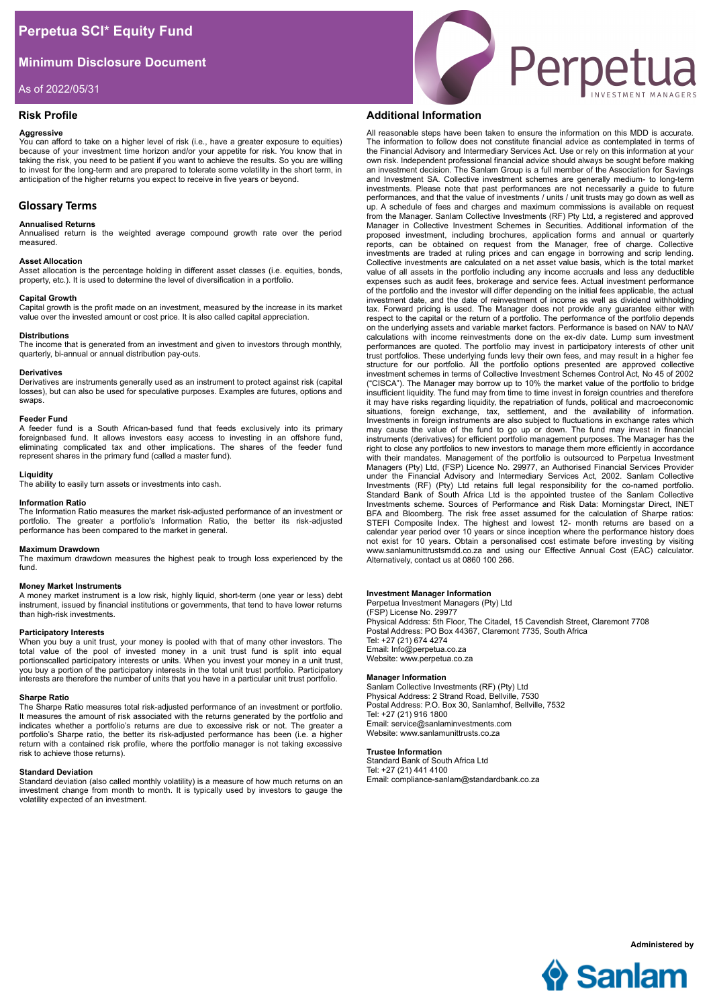# **Minimum Disclosure Document**

As of 2022/05/31

# **Risk Profile**

### **Aggressive**

You can afford to take on a higher level of risk (i.e., have a greater exposure to equities) because of your investment time horizon and/or your appetite for risk. You know that in taking the risk, you need to be patient if you want to achieve the results. So you are willing to invest for the long-term and are prepared to tolerate some volatility in the short term, in anticipation of the higher returns you expect to receive in five years or beyond.

# **Glossary Terms**

### **Annualised Returns**

Annualised return is the weighted average compound growth rate over the period measured.

### **Asset Allocation**

Asset allocation is the percentage holding in different asset classes (i.e. equities, bonds, property, etc.). It is used to determine the level of diversification in a portfolio.

### **Capital Growth**

Capital growth is the profit made on an investment, measured by the increase in its market value over the invested amount or cost price. It is also called capital appreciation.

## **Distributions**

The income that is generated from an investment and given to investors through monthly, quarterly, bi-annual or annual distribution pay-outs.

#### **Derivatives**

Derivatives are instruments generally used as an instrument to protect against risk (capital losses), but can also be used for speculative purposes. Examples are futures, options and swaps.

#### **Feeder Fund**

A feeder fund is a South African-based fund that feeds exclusively into its primary foreignbased fund. It allows investors easy access to investing in an offshore fund, eliminating complicated tax and other implications. The shares of the feeder fund represent shares in the primary fund (called a master fund).

## **Liquidity**

The ability to easily turn assets or investments into cash.

## **Information Ratio**

The Information Ratio measures the market risk-adjusted performance of an investment or portfolio. The greater a portfolio's Information Ratio, the better its risk-adjusted performance has been compared to the market in general.

## **Maximum Drawdown**

The maximum drawdown measures the highest peak to trough loss experienced by the fund.

## **Money Market Instruments**

A money market instrument is a low risk, highly liquid, short-term (one year or less) debt instrument, issued by financial institutions or governments, that tend to have lower returns than high-risk investments.

## **Participatory Interests**

When you buy a unit trust, your money is pooled with that of many other investors. The total value of the pool of invested money in a unit trust fund is split into equal portionscalled participatory interests or units. When you invest your money in a unit trust, you buy a portion of the participatory interests in the total unit trust portfolio. Participatory interests are therefore the number of units that you have in a particular unit trust portfolio.

#### **Sharpe Ratio**

The Sharpe Ratio measures total risk-adjusted performance of an investment or portfolio. It measures the amount of risk associated with the returns generated by the portfolio and indicates whether a portfolio's returns are due to excessive risk or not. The greater a portfolio's Sharpe ratio, the better its risk-adjusted performance has been (i.e. a higher return with a contained risk profile, where the portfolio manager is not taking excessive risk to achieve those returns).

#### **Standard Deviation**

Standard deviation (also called monthly volatility) is a measure of how much returns on an investment change from month to month. It is typically used by investors to gauge the volatility expected of an investment.



# **Additional Information**

All reasonable steps have been taken to ensure the information on this MDD is accurate. The information to follow does not constitute financial advice as contemplated in terms of the Financial Advisory and Intermediary Services Act. Use or rely on this information at your own risk. Independent professional financial advice should always be sought before making an investment decision. The Sanlam Group is a full member of the Association for Savings and Investment SA. Collective investment schemes are generally medium- to long-term investments. Please note that past performances are not necessarily a guide to future performances, and that the value of investments / units / unit trusts may go down as well as up. A schedule of fees and charges and maximum commissions is available on request from the Manager. Sanlam Collective Investments (RF) Pty Ltd, a registered and approved Manager in Collective Investment Schemes in Securities. Additional information of the proposed investment, including brochures, application forms and annual or quarterly reports, can be obtained on request from the Manager, free of charge. Collective investments are traded at ruling prices and can engage in borrowing and scrip lending. Collective investments are calculated on a net asset value basis, which is the total market value of all assets in the portfolio including any income accruals and less any deductible expenses such as audit fees, brokerage and service fees. Actual investment performance of the portfolio and the investor will differ depending on the initial fees applicable, the actual investment date, and the date of reinvestment of income as well as dividend withholding tax. Forward pricing is used. The Manager does not provide any guarantee either with respect to the capital or the return of a portfolio. The performance of the portfolio depends on the underlying assets and variable market factors. Performance is based on NAV to NAV calculations with income reinvestments done on the ex-div date. Lump sum investment performances are quoted. The portfolio may invest in participatory interests of other unit trust portfolios. These underlying funds levy their own fees, and may result in a higher fee structure for our portfolio. All the portfolio options presented are approved collective investment schemes in terms of Collective Investment Schemes Control Act, No 45 of 2002<br>("CISCA"). The Manager may borrow up to 10% the market value of the portfolio to bridge<br>insufficient liquidity. The fund may from time it may have risks regarding liquidity, the repatriation of funds, political and macroeconomic situations, foreign exchange, tax, settlement, and the availability of information. Investments in foreign instruments are also subject to fluctuations in exchange rates which may cause the value of the fund to go up or down. The fund may invest in financial instruments (derivatives) for efficient portfolio management purposes. The Manager has the right to close any portfolios to new investors to manage them more efficiently in accordance with their mandates. Management of the portfolio is outsourced to Perpetua Investment<br>Managers (Pty) Ltd, (FSP) Licence No. 29977, an Authorised Financial Services Provider under the Financial Advisory and Intermediary Services Act, 2002. Sanlam Collective Investments (RF) (Pty) Ltd retains full legal responsibility for the co-named portfolio. Standard Bank of South Africa Ltd is the appointed trustee of the Sanlam Collective Investments scheme. Sources of Performance and Risk Data: Morningstar Direct, INET BFA and Bloomberg. The risk free asset assumed for the calculation of Sharpe ratios: STEFI Composite Index. The highest and lowest 12- month returns are based on a calendar year period over 10 years or since inception where the performance history does<br>not exist for 10 years. Obtain a personalised cost estimate before investing by visiting<br>www.sanlamunittrustsmdd.co.za and using our Alternatively, contact us at 0860 100 266.

## **Investment Manager Information**

Perpetua Investment Managers (Pty) Ltd (FSP) License No. 29977 Physical Address: 5th Floor, The Citadel, 15 Cavendish Street, Claremont 7708 Postal Address: PO Box 44367, Claremont 7735, South Africa Tel: +27 (21) 674 4274 Email: Info@perpetua.co.za Website: www.perpetua.co.za

## **Manager Information**

Sanlam Collective Investments (RF) (Pty) Ltd Physical Address: 2 Strand Road, Bellville, 7530 Postal Address: P.O. Box 30, Sanlamhof, Bellville, 7532 Tel: +27 (21) 916 1800 Email: service@sanlaminvestments.com Website: www.sanlamunittrusts.co.za

# **Trustee Information**

Standard Bank of South Africa Ltd Tel: +27 (21) 441 4100 Email: compliance-sanlam@standardbank.co.za



**Administered by**